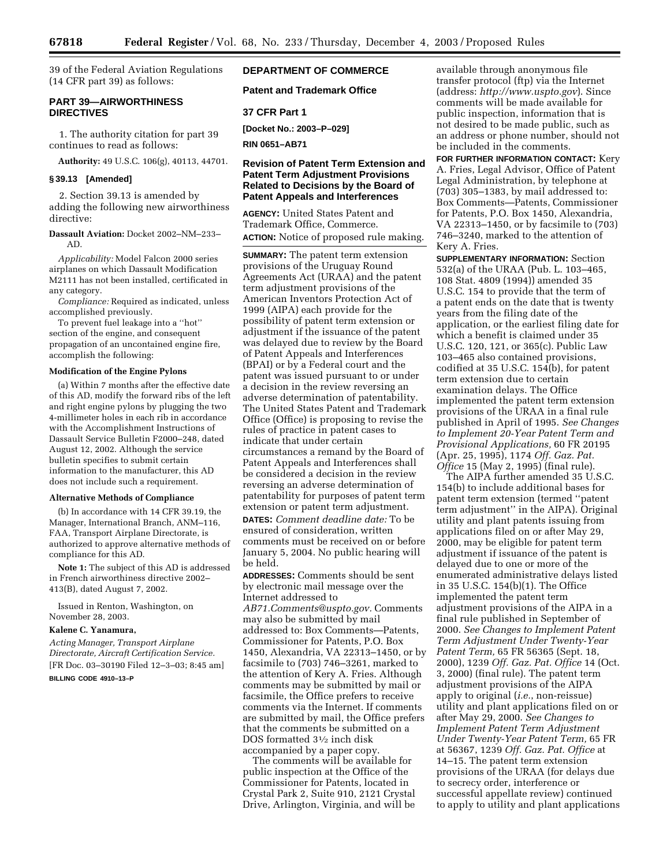39 of the Federal Aviation Regulations (14 CFR part 39) as follows:

## **PART 39—AIRWORTHINESS DIRECTIVES**

1. The authority citation for part 39 continues to read as follows:

**Authority:** 49 U.S.C. 106(g), 40113, 44701.

## **§ 39.13 [Amended]**

2. Section 39.13 is amended by adding the following new airworthiness directive:

**Dassault Aviation:** Docket 2002–NM–233– AD.

*Applicability:* Model Falcon 2000 series airplanes on which Dassault Modification M2111 has not been installed, certificated in any category.

*Compliance:* Required as indicated, unless accomplished previously.

To prevent fuel leakage into a ''hot'' section of the engine, and consequent propagation of an uncontained engine fire, accomplish the following:

### **Modification of the Engine Pylons**

(a) Within 7 months after the effective date of this AD, modify the forward ribs of the left and right engine pylons by plugging the two 4-millimeter holes in each rib in accordance with the Accomplishment Instructions of Dassault Service Bulletin F2000–248, dated August 12, 2002. Although the service bulletin specifies to submit certain information to the manufacturer, this AD does not include such a requirement.

#### **Alternative Methods of Compliance**

(b) In accordance with 14 CFR 39.19, the Manager, International Branch, ANM–116, FAA, Transport Airplane Directorate, is authorized to approve alternative methods of compliance for this AD.

**Note 1:** The subject of this AD is addressed in French airworthiness directive 2002– 413(B), dated August 7, 2002.

Issued in Renton, Washington, on November 28, 2003.

## **Kalene C. Yanamura,**

*Acting Manager, Transport Airplane Directorate, Aircraft Certification Service.*  [FR Doc. 03–30190 Filed 12–3–03; 8:45 am] **BILLING CODE 4910–13–P** 

# **DEPARTMENT OF COMMERCE**

**Patent and Trademark Office** 

### **37 CFR Part 1**

**[Docket No.: 2003–P–029]** 

**RIN 0651–AB71** 

## **Revision of Patent Term Extension and Patent Term Adjustment Provisions Related to Decisions by the Board of Patent Appeals and Interferences**

**AGENCY:** United States Patent and Trademark Office, Commerce. **ACTION:** Notice of proposed rule making.

**SUMMARY:** The patent term extension provisions of the Uruguay Round Agreements Act (URAA) and the patent term adjustment provisions of the American Inventors Protection Act of 1999 (AIPA) each provide for the possibility of patent term extension or adjustment if the issuance of the patent was delayed due to review by the Board of Patent Appeals and Interferences (BPAI) or by a Federal court and the patent was issued pursuant to or under a decision in the review reversing an adverse determination of patentability. The United States Patent and Trademark Office (Office) is proposing to revise the rules of practice in patent cases to indicate that under certain circumstances a remand by the Board of Patent Appeals and Interferences shall be considered a decision in the review reversing an adverse determination of patentability for purposes of patent term extension or patent term adjustment. **DATES:** *Comment deadline date:* To be ensured of consideration, written comments must be received on or before January 5, 2004. No public hearing will be held.

**ADDRESSES:** Comments should be sent by electronic mail message over the Internet addressed to *[AB71.Comments@uspto.gov.](mailto:AB71.Comments@uspto.gov)* Comments may also be submitted by mail addressed to: Box Comments—Patents, Commissioner for Patents, P.O. Box 1450, Alexandria, VA 22313–1450, or by facsimile to (703) 746–3261, marked to the attention of Kery A. Fries. Although comments may be submitted by mail or facsimile, the Office prefers to receive comments via the Internet. If comments are submitted by mail, the Office prefers that the comments be submitted on a DOS formatted 31⁄2 inch disk accompanied by a paper copy.

The comments will be available for public inspection at the Office of the Commissioner for Patents, located in Crystal Park 2, Suite 910, 2121 Crystal Drive, Arlington, Virginia, and will be

available through anonymous file transfer protocol (ftp) via the Internet (address: *<http://www.uspto.gov>*). Since comments will be made available for public inspection, information that is not desired to be made public, such as an address or phone number, should not be included in the comments.

**FOR FURTHER INFORMATION CONTACT:** Kery A. Fries, Legal Advisor, Office of Patent Legal Administration, by telephone at (703) 305–1383, by mail addressed to: Box Comments—Patents, Commissioner for Patents, P.O. Box 1450, Alexandria, VA 22313–1450, or by facsimile to (703) 746–3240, marked to the attention of Kery A. Fries.

**SUPPLEMENTARY INFORMATION:** Section 532(a) of the URAA (Pub. L. 103–465, 108 Stat. 4809 (1994)) amended 35 U.S.C. 154 to provide that the term of a patent ends on the date that is twenty years from the filing date of the application, or the earliest filing date for which a benefit is claimed under 35 U.S.C. 120, 121, or 365(c). Public Law 103–465 also contained provisions, codified at 35 U.S.C. 154(b), for patent term extension due to certain examination delays. The Office implemented the patent term extension provisions of the URAA in a final rule published in April of 1995. *See Changes to Implement 20-Year Patent Term and Provisional Applications,* 60 FR 20195 (Apr. 25, 1995), 1174 *Off. Gaz. Pat. Office* 15 (May 2, 1995) (final rule).

The AIPA further amended 35 U.S.C. 154(b) to include additional bases for patent term extension (termed ''patent term adjustment'' in the AIPA). Original utility and plant patents issuing from applications filed on or after May 29, 2000, may be eligible for patent term adjustment if issuance of the patent is delayed due to one or more of the enumerated administrative delays listed in 35 U.S.C. 154(b)(1). The Office implemented the patent term adjustment provisions of the AIPA in a final rule published in September of 2000. *See Changes to Implement Patent Term Adjustment Under Twenty-Year Patent Term,* 65 FR 56365 (Sept. 18, 2000), 1239 *Off. Gaz. Pat. Office* 14 (Oct. 3, 2000) (final rule). The patent term adjustment provisions of the AIPA apply to original (*i.e.*, non-reissue) utility and plant applications filed on or after May 29, 2000. *See Changes to Implement Patent Term Adjustment Under Twenty-Year Patent Term,* 65 FR at 56367, 1239 *Off. Gaz. Pat. Office* at 14–15. The patent term extension provisions of the URAA (for delays due to secrecy order, interference or successful appellate review) continued to apply to utility and plant applications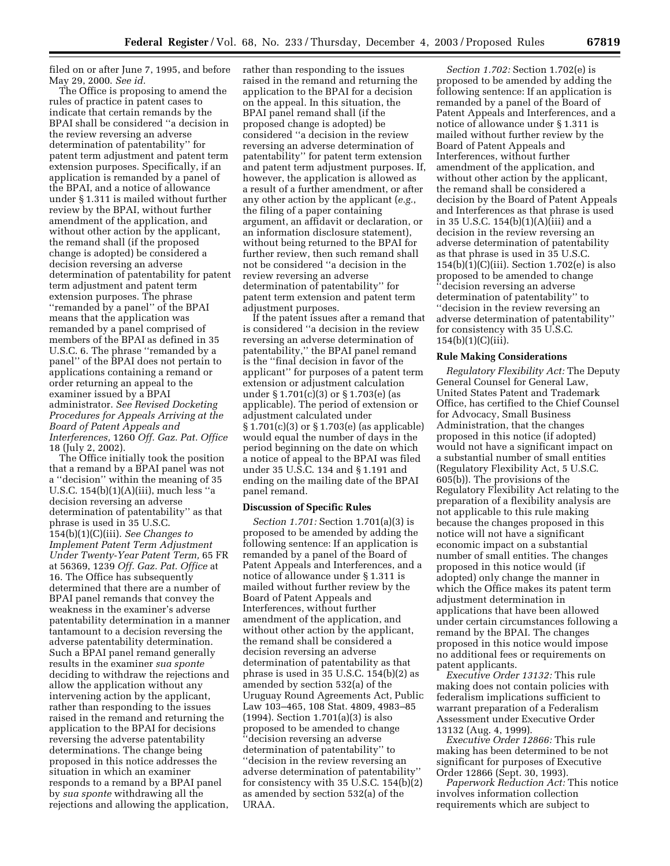filed on or after June 7, 1995, and before May 29, 2000. *See id.* 

The Office is proposing to amend the rules of practice in patent cases to indicate that certain remands by the BPAI shall be considered ''a decision in the review reversing an adverse determination of patentability'' for patent term adjustment and patent term extension purposes. Specifically, if an application is remanded by a panel of the BPAI, and a notice of allowance under § 1.311 is mailed without further review by the BPAI, without further amendment of the application, and without other action by the applicant, the remand shall (if the proposed change is adopted) be considered a decision reversing an adverse determination of patentability for patent term adjustment and patent term extension purposes. The phrase ''remanded by a panel'' of the BPAI means that the application was remanded by a panel comprised of members of the BPAI as defined in 35 U.S.C. 6. The phrase ''remanded by a panel'' of the BPAI does not pertain to applications containing a remand or order returning an appeal to the examiner issued by a BPAI administrator. *See Revised Docketing Procedures for Appeals Arriving at the Board of Patent Appeals and Interferences,* 1260 *Off. Gaz. Pat. Office*  18 (July 2, 2002).

The Office initially took the position that a remand by a BPAI panel was not a ''decision'' within the meaning of 35 U.S.C. 154(b)(1)(A)(iii), much less ''a decision reversing an adverse determination of patentability'' as that phrase is used in 35 U.S.C. 154(b)(1)(C)(iii). *See Changes to Implement Patent Term Adjustment Under Twenty-Year Patent Term,* 65 FR at 56369, 1239 *Off. Gaz. Pat. Office* at 16. The Office has subsequently determined that there are a number of BPAI panel remands that convey the weakness in the examiner's adverse patentability determination in a manner tantamount to a decision reversing the adverse patentability determination. Such a BPAI panel remand generally results in the examiner *sua sponte*  deciding to withdraw the rejections and allow the application without any intervening action by the applicant, rather than responding to the issues raised in the remand and returning the application to the BPAI for decisions reversing the adverse patentability determinations. The change being proposed in this notice addresses the situation in which an examiner responds to a remand by a BPAI panel by *sua sponte* withdrawing all the rejections and allowing the application,

rather than responding to the issues raised in the remand and returning the application to the BPAI for a decision on the appeal. In this situation, the BPAI panel remand shall (if the proposed change is adopted) be considered ''a decision in the review reversing an adverse determination of patentability'' for patent term extension and patent term adjustment purposes. If, however, the application is allowed as a result of a further amendment, or after any other action by the applicant (*e.g.*, the filing of a paper containing argument, an affidavit or declaration, or an information disclosure statement), without being returned to the BPAI for further review, then such remand shall not be considered ''a decision in the review reversing an adverse determination of patentability'' for patent term extension and patent term adjustment purposes.

If the patent issues after a remand that is considered ''a decision in the review reversing an adverse determination of patentability,'' the BPAI panel remand is the ''final decision in favor of the applicant'' for purposes of a patent term extension or adjustment calculation under § 1.701(c)(3) or § 1.703(e) (as applicable). The period of extension or adjustment calculated under § 1.701(c)(3) or § 1.703(e) (as applicable) would equal the number of days in the period beginning on the date on which a notice of appeal to the BPAI was filed under 35 U.S.C. 134 and § 1.191 and ending on the mailing date of the BPAI panel remand.

### **Discussion of Specific Rules**

*Section 1.701:* Section 1.701(a)(3) is proposed to be amended by adding the following sentence: If an application is remanded by a panel of the Board of Patent Appeals and Interferences, and a notice of allowance under § 1.311 is mailed without further review by the Board of Patent Appeals and Interferences, without further amendment of the application, and without other action by the applicant, the remand shall be considered a decision reversing an adverse determination of patentability as that phrase is used in 35 U.S.C. 154(b)(2) as amended by section 532(a) of the Uruguay Round Agreements Act, Public Law 103–465, 108 Stat. 4809, 4983–85 (1994). Section 1.701(a)(3) is also proposed to be amended to change ''decision reversing an adverse determination of patentability'' to ''decision in the review reversing an adverse determination of patentability'' for consistency with 35 U.S.C. 154(b)(2) as amended by section 532(a) of the URAA.

*Section 1.702:* Section 1.702(e) is proposed to be amended by adding the following sentence: If an application is remanded by a panel of the Board of Patent Appeals and Interferences, and a notice of allowance under § 1.311 is mailed without further review by the Board of Patent Appeals and Interferences, without further amendment of the application, and without other action by the applicant, the remand shall be considered a decision by the Board of Patent Appeals and Interferences as that phrase is used in 35 U.S.C. 154(b)(1)(A)(iii) and a decision in the review reversing an adverse determination of patentability as that phrase is used in 35 U.S.C. 154(b)(1)(C)(iii). Section 1.702(e) is also proposed to be amended to change ''decision reversing an adverse determination of patentability'' to ''decision in the review reversing an adverse determination of patentability'' for consistency with 35 U.S.C.  $154(b)(1)(C)(iii)$ .

#### **Rule Making Considerations**

*Regulatory Flexibility Act:* The Deputy General Counsel for General Law, United States Patent and Trademark Office, has certified to the Chief Counsel for Advocacy, Small Business Administration, that the changes proposed in this notice (if adopted) would not have a significant impact on a substantial number of small entities (Regulatory Flexibility Act, 5 U.S.C. 605(b)). The provisions of the Regulatory Flexibility Act relating to the preparation of a flexibility analysis are not applicable to this rule making because the changes proposed in this notice will not have a significant economic impact on a substantial number of small entities. The changes proposed in this notice would (if adopted) only change the manner in which the Office makes its patent term adjustment determination in applications that have been allowed under certain circumstances following a remand by the BPAI. The changes proposed in this notice would impose no additional fees or requirements on patent applicants.

*Executive Order 13132:* This rule making does not contain policies with federalism implications sufficient to warrant preparation of a Federalism Assessment under Executive Order 13132 (Aug. 4, 1999).

*Executive Order 12866:* This rule making has been determined to be not significant for purposes of Executive Order 12866 (Sept. 30, 1993).

*Paperwork Reduction Act:* This notice involves information collection requirements which are subject to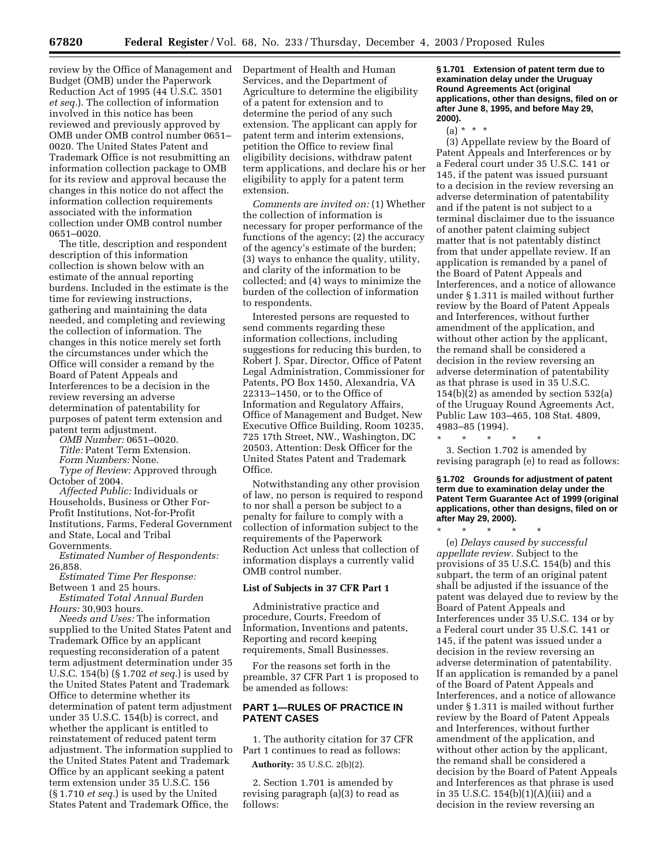review by the Office of Management and Budget (OMB) under the Paperwork Reduction Act of 1995 (44 U.S.C. 3501 *et seq.*). The collection of information involved in this notice has been reviewed and previously approved by OMB under OMB control number 0651– 0020. The United States Patent and Trademark Office is not resubmitting an information collection package to OMB for its review and approval because the changes in this notice do not affect the information collection requirements associated with the information collection under OMB control number 0651–0020.

The title, description and respondent description of this information collection is shown below with an estimate of the annual reporting burdens. Included in the estimate is the time for reviewing instructions, gathering and maintaining the data needed, and completing and reviewing the collection of information. The changes in this notice merely set forth the circumstances under which the Office will consider a remand by the Board of Patent Appeals and Interferences to be a decision in the review reversing an adverse determination of patentability for purposes of patent term extension and patent term adjustment.

*OMB Number:* 0651–0020.

*Title:* Patent Term Extension.

*Form Numbers:* None.

*Type of Review:* Approved through October of 2004.

*Affected Public:* Individuals or Households, Business or Other For-Profit Institutions, Not-for-Profit Institutions, Farms, Federal Government and State, Local and Tribal Governments.

*Estimated Number of Respondents:*  26,858.

*Estimated Time Per Response:*  Between 1 and 25 hours.

*Estimated Total Annual Burden Hours:* 30,903 hours.

*Needs and Uses:* The information supplied to the United States Patent and Trademark Office by an applicant requesting reconsideration of a patent term adjustment determination under 35 U.S.C. 154(b) (§ 1.702 *et seq.*) is used by the United States Patent and Trademark Office to determine whether its determination of patent term adjustment under 35 U.S.C. 154(b) is correct, and whether the applicant is entitled to reinstatement of reduced patent term adjustment. The information supplied to the United States Patent and Trademark Office by an applicant seeking a patent term extension under 35 U.S.C. 156 (§ 1.710 *et seq.*) is used by the United States Patent and Trademark Office, the

Department of Health and Human Services, and the Department of Agriculture to determine the eligibility of a patent for extension and to determine the period of any such extension. The applicant can apply for patent term and interim extensions, petition the Office to review final eligibility decisions, withdraw patent term applications, and declare his or her eligibility to apply for a patent term extension.

*Comments are invited on:* (1) Whether the collection of information is necessary for proper performance of the functions of the agency; (2) the accuracy of the agency's estimate of the burden; (3) ways to enhance the quality, utility, and clarity of the information to be collected; and (4) ways to minimize the burden of the collection of information to respondents.

Interested persons are requested to send comments regarding these information collections, including suggestions for reducing this burden, to Robert J. Spar, Director, Office of Patent Legal Administration, Commissioner for Patents, PO Box 1450, Alexandria, VA 22313–1450, or to the Office of Information and Regulatory Affairs, Office of Management and Budget, New Executive Office Building, Room 10235, 725 17th Street, NW., Washington, DC 20503, Attention: Desk Officer for the United States Patent and Trademark Office.

Notwithstanding any other provision of law, no person is required to respond to nor shall a person be subject to a penalty for failure to comply with a collection of information subject to the requirements of the Paperwork Reduction Act unless that collection of information displays a currently valid OMB control number.

### **List of Subjects in 37 CFR Part 1**

Administrative practice and procedure, Courts, Freedom of Information, Inventions and patents, Reporting and record keeping requirements, Small Businesses.

For the reasons set forth in the preamble, 37 CFR Part 1 is proposed to be amended as follows:

## **PART 1—RULES OF PRACTICE IN PATENT CASES**

1. The authority citation for 37 CFR Part 1 continues to read as follows: **Authority:** 35 U.S.C. 2(b)(2).

2. Section 1.701 is amended by revising paragraph (a)(3) to read as follows:

**§ 1.701 Extension of patent term due to examination delay under the Uruguay Round Agreements Act (original applications, other than designs, filed on or after June 8, 1995, and before May 29, 2000).** 

 $(a) * * * *$ 

(3) Appellate review by the Board of Patent Appeals and Interferences or by a Federal court under 35 U.S.C. 141 or 145, if the patent was issued pursuant to a decision in the review reversing an adverse determination of patentability and if the patent is not subject to a terminal disclaimer due to the issuance of another patent claiming subject matter that is not patentably distinct from that under appellate review. If an application is remanded by a panel of the Board of Patent Appeals and Interferences, and a notice of allowance under § 1.311 is mailed without further review by the Board of Patent Appeals and Interferences, without further amendment of the application, and without other action by the applicant, the remand shall be considered a decision in the review reversing an adverse determination of patentability as that phrase is used in 35 U.S.C. 154(b)(2) as amended by section 532(a) of the Uruguay Round Agreements Act, Public Law 103–465, 108 Stat. 4809, 4983–85 (1994).

\* \* \* \* \* 3. Section 1.702 is amended by revising paragraph (e) to read as follows:

**§ 1.702 Grounds for adjustment of patent term due to examination delay under the Patent Term Guarantee Act of 1999 (original applications, other than designs, filed on or after May 29, 2000).** 

\* \* \* \* \* (e) *Delays caused by successful appellate review.* Subject to the provisions of 35 U.S.C. 154(b) and this subpart, the term of an original patent shall be adjusted if the issuance of the patent was delayed due to review by the Board of Patent Appeals and Interferences under 35 U.S.C. 134 or by a Federal court under 35 U.S.C. 141 or 145, if the patent was issued under a decision in the review reversing an adverse determination of patentability. If an application is remanded by a panel of the Board of Patent Appeals and Interferences, and a notice of allowance under § 1.311 is mailed without further review by the Board of Patent Appeals and Interferences, without further amendment of the application, and without other action by the applicant, the remand shall be considered a decision by the Board of Patent Appeals and Interferences as that phrase is used in 35 U.S.C. 154(b)(1)(A)(iii) and a decision in the review reversing an